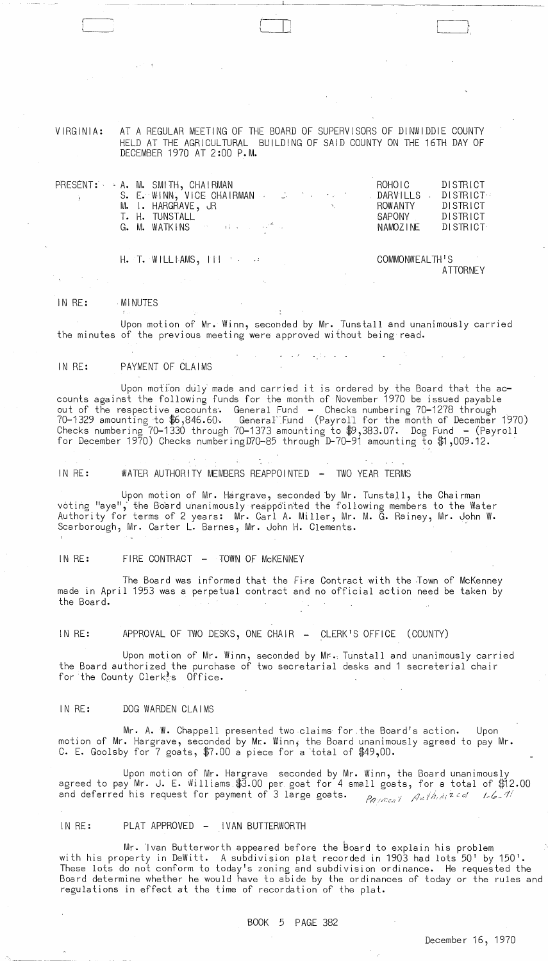VIRGINIA: AT A REGULAR MEETING OF THE BOARD OF SUPERVISORS OF DINWIDDIE COUNTY HELD AT THE AGRICULTURAL BUILDING OF SAID COUNTY ON THE 16TH DAY OF DECEMBER 1970 AT 2:00 P.M.

--- ------ '-- -----~---------- ----

I اسلامیسا

| $\mathcal{L}=\mathcal{L}(\mathbf{X})$ . The $\mathcal{L}(\mathbf{X})$ | PRESENT: - A. M. SMITH, CHAIRMAN<br>S. E. WINN, VICE CHAIRMAN DARVILLS . DISTRICT:<br>M. I. HARGRAVE, JR<br>T. H. TUNSTALL<br>G. M. WATKINS and a construction of the contract of the contract of the contract of the contract of the contract of the contract of the contract of the contract of the contract of the contract of the contract of the contra | ROHOIC<br>ROWANTY<br>SAPONY DISTRICT<br>NAMOZINE DISTRICT | DISTRICT<br>DISTRICT |
|-----------------------------------------------------------------------|--------------------------------------------------------------------------------------------------------------------------------------------------------------------------------------------------------------------------------------------------------------------------------------------------------------------------------------------------------------|-----------------------------------------------------------|----------------------|
|                                                                       | $H.$ T. WILLIAMS, $  \cdot  $                                                                                                                                                                                                                                                                                                                                | COMMONWEALTH'S                                            |                      |

COMMONWEALTH'S ATTORNEY

#### IN RE: . MI NUTES

 $\left(\begin{array}{c} \begin{array}{c} \begin{array}{c} \end{array}\\ \end{array}\right) \end{array}$ 

Upon motion of Mr. Winn, seconded by Mr. Tunstall and unanimously carried the minutes of the previous meeting were approved without being read.

## IN RE: PAYMENT OF CLAIMS

Upon motion duly made and carried it is ordered by the Board that the  $ac$ counts against the following funds for the month of November 1970 be issued payable out of the respective accounts. General Fund - Checks numbering 70-1278 through<br>70-1329 amounting to \$6,846.60. GeneraFFund (Payroll for the month of December 1970) Checks numbering 70-1330 through 70-1373 amounting to \$9,383.07. Dog Fund - (Payroll for December 1970) Checks numberingD70-85 through D-70-91 amounting to \$1,009.12.  $\,$ 

IN RE: WATER AUTHORITY MEMBERS REAPPOINTED - TWO YEAR TERMS

Upon motion of Mr. Hargrave, seconded by Mr. Tunstall, the Chairman voting "aye", the Board unanimously reappointed the following members to the Water Authority for terms of 2 years: Mr. Carl A. Miller, Mr. M. G. Rainey, Mr. John W. Scarborough, Mr. Carter L. Barnes, Mr. John H. Clements.

### IN RE: FIRE CONTRACT - TOWN OF MCKENNEY

The Board was informed that the Fi-re Contract with the Town of McKenney made in April 1953 was a perpetual contract and no official action need be taken by the Board.

IN RE: APPROVAL OF TWO DESKS, ONE CHAIR - CLERK'S OFFICE (COUNTY)

Upon motion of Mr. Winn, seconded by Mr. Tunstall and unanimously carried the Board authorized the purchase of two secretarial desks and 1 secreterial chair for the County Clerk s Office.

IN RE: DOG WARDEN CLAIMS

Mr. A. W. Chappell presented two claims for .the Board's action. Upon motion of Mr. Hargrave, seconded by Mr. Winn, the Board unanimously agreed to pay Mr. C. E. Goolsby for 7 goats, \$7.00 a piece for a total of \$49,00.

Upon motion of Mr. Hargrave seconded by Mr. Winn, the Board unanimously agreed to pay Mr. J. E. Williams \$3.00 per goat for 4 small goats, for a total of \$12.00 and deferred his request for payment of 3 large goats. *Payment* Authorized 1-6-11

# IN RE: PLAT APPROVED - IVAN BUTTERWORTH

Mr. Ivan Butterworth appeared before the Board to explain his problem with his property in DeWitt. A subdivision plat recorded in 1903 had lots 50' by 150'. These lots do not conform to today's zoning and subdivision ordinance. He requested the Board determine whether he would have to abide by the ordinances of today or the rules and regulations in effect at the time of recordation of the plat.

## BOOK 5 PAGE 382